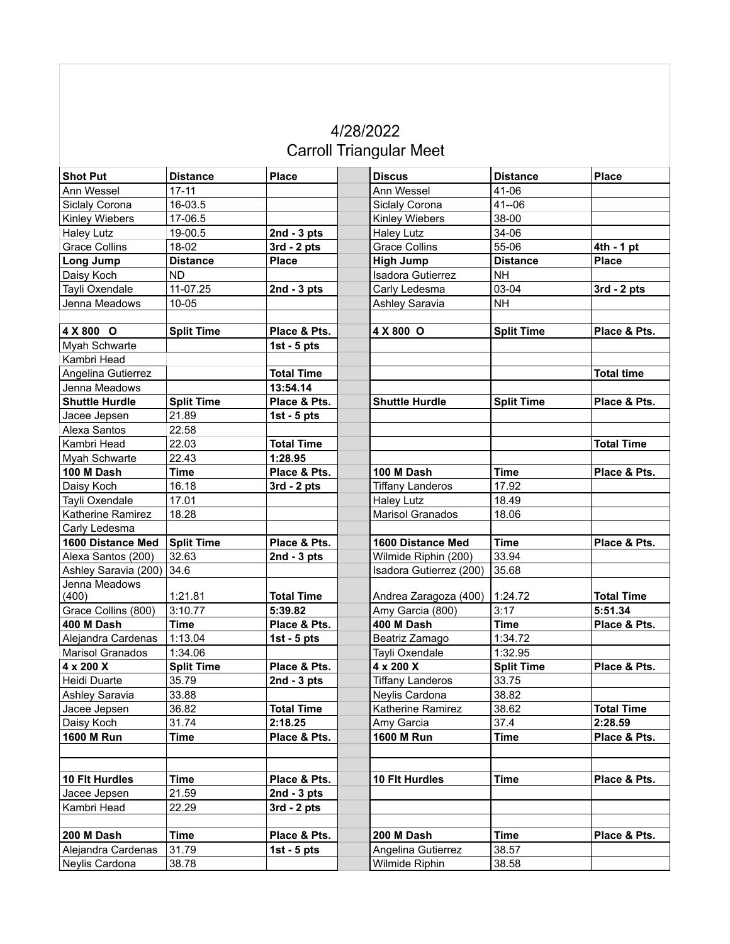## 4/28/2022 **Carroll Triangular Meet**

| <b>Shot Put</b>         | <b>Distance</b>   | <b>Place</b>      | <b>Discus</b>           | <b>Distance</b>   | <b>Place</b>      |
|-------------------------|-------------------|-------------------|-------------------------|-------------------|-------------------|
| Ann Wessel              | $17 - 11$         |                   | Ann Wessel              | 41-06             |                   |
| Siclaly Corona          | 16-03.5           |                   | Siclaly Corona          | $41 - 06$         |                   |
| Kinley Wiebers          | 17-06.5           |                   | Kinley Wiebers          | 38-00             |                   |
| <b>Haley Lutz</b>       | 19-00.5           | 2nd - $3$ pts     | <b>Haley Lutz</b>       | 34-06             |                   |
| <b>Grace Collins</b>    | 18-02             | $3rd - 2pts$      | <b>Grace Collins</b>    | 55-06             | $4th - 1 pt$      |
| Long Jump               | <b>Distance</b>   | <b>Place</b>      | <b>High Jump</b>        | <b>Distance</b>   | <b>Place</b>      |
| Daisy Koch              | <b>ND</b>         |                   | Isadora Gutierrez       | <b>NH</b>         |                   |
| Tayli Oxendale          | 11-07.25          | 2nd - $3$ pts     | Carly Ledesma           | 03-04             | $3rd - 2pts$      |
| Jenna Meadows           | 10-05             |                   | Ashley Saravia          | <b>NH</b>         |                   |
|                         |                   |                   |                         |                   |                   |
| 4 X 800 O               | <b>Split Time</b> | Place & Pts.      | 4 X 800 O               | <b>Split Time</b> | Place & Pts.      |
| Myah Schwarte           |                   | 1st - $5$ pts     |                         |                   |                   |
| Kambri Head             |                   |                   |                         |                   |                   |
| Angelina Gutierrez      |                   | <b>Total Time</b> |                         |                   | <b>Total time</b> |
| Jenna Meadows           |                   | 13:54.14          |                         |                   |                   |
| <b>Shuttle Hurdle</b>   | <b>Split Time</b> | Place & Pts.      | <b>Shuttle Hurdle</b>   | <b>Split Time</b> | Place & Pts.      |
| Jacee Jepsen            | 21.89             | 1st - $5$ pts     |                         |                   |                   |
| Alexa Santos            | 22.58             |                   |                         |                   |                   |
| Kambri Head             | 22.03             | <b>Total Time</b> |                         |                   | <b>Total Time</b> |
| Myah Schwarte           | 22.43             | 1:28.95           |                         |                   |                   |
| 100 M Dash              | <b>Time</b>       | Place & Pts.      | 100 M Dash              | <b>Time</b>       | Place & Pts.      |
| Daisy Koch              | 16.18             | $3rd - 2pts$      | <b>Tiffany Landeros</b> | 17.92             |                   |
| Tayli Oxendale          | 17.01             |                   | <b>Haley Lutz</b>       | 18.49             |                   |
| Katherine Ramirez       | 18.28             |                   | Marisol Granados        | 18.06             |                   |
| Carly Ledesma           |                   |                   |                         |                   |                   |
| 1600 Distance Med       | <b>Split Time</b> | Place & Pts.      | 1600 Distance Med       | <b>Time</b>       | Place & Pts.      |
| Alexa Santos (200)      | 32.63             | 2nd - $3$ pts     | Wilmide Riphin (200)    | 33.94             |                   |
| Ashley Saravia (200)    | 34.6              |                   | Isadora Gutierrez (200) | 35.68             |                   |
| Jenna Meadows           |                   |                   |                         |                   |                   |
| (400)                   | 1:21.81           | <b>Total Time</b> | Andrea Zaragoza (400)   | 1:24.72           | <b>Total Time</b> |
| Grace Collins (800)     | 3:10.77           | 5:39.82           | Amy Garcia (800)        | 3:17              | 5:51.34           |
| 400 M Dash              | <b>Time</b>       | Place & Pts.      | 400 M Dash              | <b>Time</b>       | Place & Pts.      |
| Alejandra Cardenas      | 1:13.04           | 1st - $5$ pts     | Beatriz Zamago          | 1:34.72           |                   |
| <b>Marisol Granados</b> | 1:34.06           |                   | Tayli Oxendale          | 1:32.95           |                   |
| 4 x 200 X               | <b>Split Time</b> | Place & Pts.      | 4 x 200 X               | <b>Split Time</b> | Place & Pts.      |
| Heidi Duarte            | 35.79             | 2nd - $3$ pts     | <b>Tiffany Landeros</b> | 33.75             |                   |
| Ashley Saravia          | 33.88             |                   | Neylis Cardona          | 38.82             |                   |
| Jacee Jepsen            | 36.82             | <b>Total Time</b> | Katherine Ramirez       | 38.62             | <b>Total Time</b> |
| Daisy Koch              | 31.74             | 2:18.25           | Amy Garcia              | 37.4              | 2:28.59           |
| 1600 M Run              | <b>Time</b>       | Place & Pts.      | <b>1600 M Run</b>       | <b>Time</b>       | Place & Pts.      |
|                         |                   |                   |                         |                   |                   |
|                         |                   |                   |                         |                   |                   |
| 10 Flt Hurdles          | <b>Time</b>       | Place & Pts.      | <b>10 Flt Hurdles</b>   | <b>Time</b>       | Place & Pts.      |
| Jacee Jepsen            | 21.59             | $2nd - 3pts$      |                         |                   |                   |
| Kambri Head             | 22.29             | $3rd - 2pts$      |                         |                   |                   |
|                         |                   |                   |                         |                   |                   |
| 200 M Dash              | <b>Time</b>       | Place & Pts.      | 200 M Dash              | <b>Time</b>       | Place & Pts.      |
| Alejandra Cardenas      | 31.79             | 1st - $5$ pts     | Angelina Gutierrez      | 38.57             |                   |
| Neylis Cardona          | 38.78             |                   | Wilmide Riphin          | 38.58             |                   |